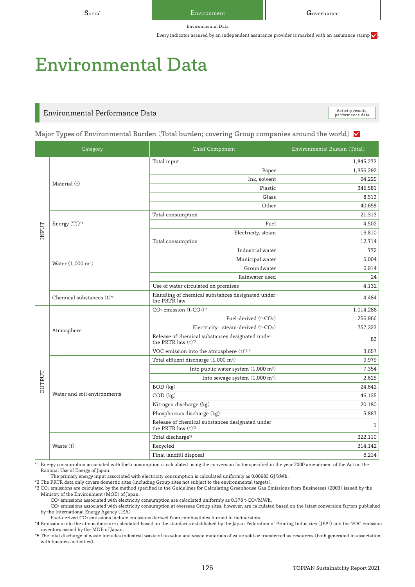Social **E**nvironment **Governance** 

Environmental Data

Every indicator assured by an independent assurance provider is marked with an assurance stamp  $\checkmark$ 

# Environmental Data

## Environmental Performance Data

Activity results,<br>performance data

Major Types of Environmental Burden (Total burden; covering Group companies around the world)  $\vee$ 

|               | Category                             | <b>Chief Component</b>                                                               | Environmental Burden (Total) |
|---------------|--------------------------------------|--------------------------------------------------------------------------------------|------------------------------|
|               |                                      | Total input                                                                          | 1,845,273                    |
|               | Material (t)                         | Paper                                                                                | 1,356,292                    |
|               |                                      | Ink, solvent                                                                         | 94,229                       |
|               |                                      | Plastic                                                                              | 345,581                      |
|               |                                      | Glass                                                                                | 8,513                        |
|               |                                      | Other                                                                                | 40.658                       |
|               |                                      | Total consumption                                                                    | 21,313                       |
|               | Energy (TJ) <sup>*1</sup>            | Fuel                                                                                 | 4,502                        |
| INPUT         |                                      | Electricity, steam                                                                   | 16,810                       |
|               |                                      | Total consumption                                                                    | 12,714                       |
|               |                                      | Industrial water                                                                     | 772                          |
|               |                                      | Municipal water                                                                      | 5,004                        |
|               | Water (1,000 m <sup>3</sup> )        | Groundwater                                                                          | 6,914                        |
|               |                                      | Rainwater used                                                                       | 24                           |
|               |                                      | Use of water circulated on premises                                                  | 4,132                        |
|               | Chemical substances (t) <sup>2</sup> | Handling of chemical substances designated under<br>the PRTR law                     | 4.484                        |
|               | Atmosphere                           | CO <sub>2</sub> emission (t-CO <sub>2</sub> ) <sup>*3</sup>                          | 1,014,288                    |
|               |                                      | Fuel-derived (t-CO <sub>2</sub> )                                                    | 256,966                      |
|               |                                      | Electricity-, steam-derived (t-CO <sub>2</sub> )                                     | 757,323                      |
|               |                                      | Release of chemical substances designated under<br>the PRTR law $(t)^*$ <sup>2</sup> | 83                           |
|               |                                      | VOC emission into the atmosphere (t)*2,4                                             | 3,657                        |
|               | Water and soil environments          | Total effluent discharge (1,000 m <sup>3</sup> )                                     | 9,979                        |
|               |                                      | Into public water system $(1,000 \text{ m}^3)$                                       | 7,354                        |
| <b>DUTPUT</b> |                                      | Into sewage system (1,000 m <sup>3</sup> )                                           | 2,625                        |
|               |                                      | BOD (kg)                                                                             | 24,642                       |
|               |                                      | COD (kg)                                                                             | 46,135                       |
|               |                                      | Nitrogen discharge (kg)                                                              | 20,180                       |
|               |                                      | Phosphorous discharge (kg)                                                           | 5,887                        |
|               |                                      | Release of chemical substances designated under<br>the PRTR law (t)*2                | $\mathbf{1}$                 |
|               |                                      | Total discharge*5                                                                    | 322,110                      |
|               | Waste (t)                            | Recycled                                                                             | 314,142                      |
|               |                                      | Final landfill disposal                                                              | 6,214                        |

\*1 Energy consumption associated with fuel consumption is calculated using the conversion factor specified in the year 2000 amendment of the Act on the Rational Use of Energy of Japan.

The primary energy input associated with electricity consumption is calculated uniformly as 0.00983 GJ/kWh.

\*2 The PRTR data only covers domestic sites (including Group sites not subject to the environmental targets).

\*3 CO2 emissions are calculated by the method specified in the Guidelines for Calculating Greenhouse Gas Emissions from Businesses (2003) issued by the Ministry of the Environment (MOE) of Japan.

CO2 emissions associated with electricity consumption are calculated uniformly as 0.378 t-CO2/MWh. CO2 emissions associated with electricity consumption at overseas Group sites, however, are calculated based on the latest conversion factors published

by the International Energy Agency (IEA).

Fuel-derived CO2 emissions include emissions derived from combustibles burned in incinerators.

\*4 Emissions into the atmosphere are calculated based on the standards established by the Japan Federation of Printing Industries (JFPI) and the VOC emission inventory issued by the MOE of Japan.

\*5 The total discharge of waste includes industrial waste of no value and waste materials of value sold or transferred as resources (both generated in association with business activities).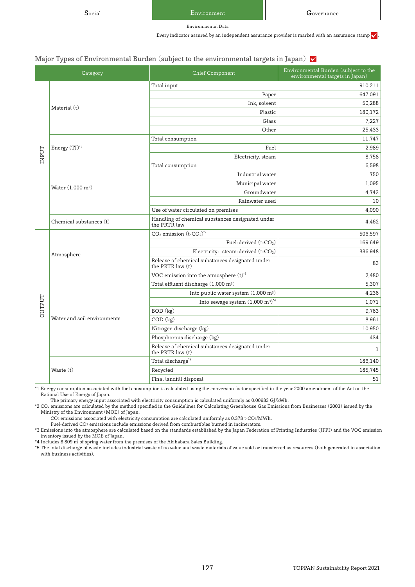Social Environment Nuite Governance

Environmental Data

Every indicator assured by an independent assurance provider is marked with an assurance stamp  $\checkmark$ 

#### Major Types of Environmental Burden (subject to the environmental targets in Japan)  $\sqrt{}$

|               | Category                      | <b>Chief Component</b>                                              | Environmental Burden (subject to the<br>environmental targets in Japan) |
|---------------|-------------------------------|---------------------------------------------------------------------|-------------------------------------------------------------------------|
|               |                               | Total input                                                         | 910,211                                                                 |
|               | Material (t)                  | Paper                                                               | 647,091                                                                 |
|               |                               | Ink, solvent                                                        | 50,288                                                                  |
|               |                               | Plastic                                                             | 180,172                                                                 |
|               |                               | Glass                                                               | 7,227                                                                   |
|               |                               | Other                                                               | 25,433                                                                  |
|               |                               | Total consumption                                                   | 11,747                                                                  |
|               | Energy (TJ) <sup>*1</sup>     | Fuel                                                                | 2,989                                                                   |
| INPUT         |                               | Electricity, steam                                                  | 8,758                                                                   |
|               |                               | Total consumption                                                   | 6,598                                                                   |
|               |                               | Industrial water                                                    | 750                                                                     |
|               | Water (1,000 m <sup>3</sup> ) | Municipal water                                                     | 1,095                                                                   |
|               |                               | Groundwater                                                         | 4,743                                                                   |
|               |                               | Rainwater used                                                      | 10                                                                      |
|               |                               | Use of water circulated on premises                                 | 4,090                                                                   |
|               | Chemical substances (t)       | Handling of chemical substances designated under<br>the PRTR law    | 4,462                                                                   |
|               |                               | $\rm CO_2$ emission $\rm (t\text{-}CO_2)^{*2}$                      | 506,597                                                                 |
|               | Atmosphere                    | Fuel-derived $(t$ - $CO2)$                                          | 169,649                                                                 |
|               |                               | Electricity-, steam-derived (t-CO <sub>2</sub> )                    | 336,948                                                                 |
|               |                               | Release of chemical substances designated under<br>the PRTR law (t) | 83                                                                      |
|               |                               | VOC emission into the atmosphere $(t)^*$ <sup>3</sup>               | 2,480                                                                   |
|               |                               | Total effluent discharge (1,000 m <sup>3</sup> )                    | 5,307                                                                   |
|               |                               | Into public water system $(1,\!000\;\mathrm{m}^3)$                  | 4,236                                                                   |
| <b>DUTPUT</b> |                               | Into sewage system $(1,000 \text{ m}^3)^{*4}$                       | 1,071                                                                   |
|               |                               | BOD (kg)                                                            | 9,763                                                                   |
|               | Water and soil environments   | $COD$ $(kg)$                                                        | 8,961                                                                   |
|               |                               | Nitrogen discharge (kg)                                             | 10,950                                                                  |
|               |                               | Phosphorous discharge (kg)                                          | 434                                                                     |
|               |                               | Release of chemical substances designated under<br>the PRTR law (t) | $\mathbf{1}$                                                            |
|               |                               | Total discharge <sup>*5</sup>                                       | 186,140                                                                 |
|               | Waste (t)                     | Recycled                                                            | 185,745                                                                 |
|               |                               | Final landfill disposal                                             | 51                                                                      |

\*1 Energy consumption associated with fuel consumption is calculated using the conversion factor specified in the year 2000 amendment of the Act on the Rational Use of Energy of Japan.

The primary energy input associated with electricity consumption is calculated uniformly as 0.00983 GJ/kWh.

\*2 CO2 emissions are calculated by the method specified in the Guidelines for Calculating Greenhouse Gas Emissions from Businesses (2003) issued by the Ministry of the Environment (MOE) of Japan.

CO<sub>2</sub> emissions associated with electricity consumption are calculated uniformly as 0.378 t-CO2/MWh.

Fuel-derived CO2 emissions include emissions derived from combustibles burned in incinerators. \*3 Emissions into the atmosphere are calculated based on the standards established by the Japan Federation of Printing Industries (JFPI) and the VOC emission

inventory issued by the MOE of Japan.

\*4 Includes 8,809 ㎥ of spring water from the premises of the Akihabara Sales Building.

\*5 The total discharge of waste includes industrial waste of no value and waste materials of value sold or transferred as resources (both generated in association with business activities).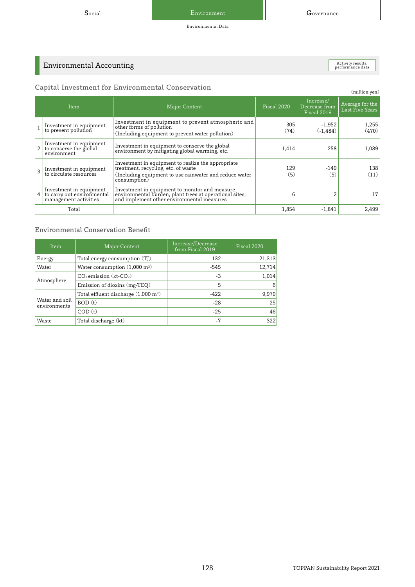Environmental Data

Activity results,<br>performance data

## Environmental Accounting

| Capital Investment for Environmental Conservation |
|---------------------------------------------------|
|                                                   |

|                | Capital Investment for Environmental Conservation<br>(million yen)             |                                                                                                                                                                     |             |                                           |                                    |  |
|----------------|--------------------------------------------------------------------------------|---------------------------------------------------------------------------------------------------------------------------------------------------------------------|-------------|-------------------------------------------|------------------------------------|--|
|                | Item                                                                           | Major Content                                                                                                                                                       | Fiscal 2020 | Increase/<br>Decrease from<br>Fiscal 2019 | Average for the<br>Last Five Years |  |
|                | Investment in equipment<br>to prevent pollution                                | Investment in equipment to prevent atmospheric and<br>other forms of pollution<br>(Including equipment to prevent water pollution)                                  | 305<br>(74) | $-1,952$<br>$(-1.484)$                    | 1,255<br>(470)                     |  |
|                | Investment in equipment<br>$2  $ to conserve the global<br>environment         | Investment in equipment to conserve the global<br>environment by mitigating global warming, etc.                                                                    | 1,414       | 258                                       | 1,089                              |  |
|                | Investment in equipment<br>to circulate resources                              | Investment in equipment to realize the appropriate<br>treatment, recycling, etc. of waste<br>(Including equipment to use rainwater and reduce water<br>consumption) | 129<br>(5)  | $-149$<br>(5)                             | 138<br>(11)                        |  |
| $\overline{4}$ | Investment in equipment<br>to carry out environmental<br>management activities | Investment in equipment to monitor and measure<br>environmental burden, plant trees at operational sites,<br>and implement other environmental measures             | 6           |                                           | 17                                 |  |
|                | Total                                                                          |                                                                                                                                                                     | 1,854       | $-1,841$                                  | 2,499                              |  |

## Environmental Conservation Benefit

| Item                           | Major Content                                  | Increase/Decrease<br>from Fiscal 2019 | Fiscal 2020 |
|--------------------------------|------------------------------------------------|---------------------------------------|-------------|
| Energy                         | Total energy consumption (TJ)                  | 132                                   | 21,313      |
| Water                          | Water consumption (1,000 m <sup>3</sup> )      | $-545$                                | 12,714      |
| Atmosphere                     | $CO2$ emission (kt-CO <sub>2</sub> )           | -3                                    | 1,014       |
|                                | Emission of dioxins (mg-TEQ)                   | 5                                     | 6           |
|                                | Total effluent discharge $(1,000 \text{ m}^3)$ | $-422$                                | 9,979       |
| Water and soil<br>environments | BOD (t)                                        | $-28$                                 | 25          |
|                                | COD(t)                                         | $-25$                                 | 46          |
| Waste                          | Total discharge (kt)                           | $-7$                                  | 322         |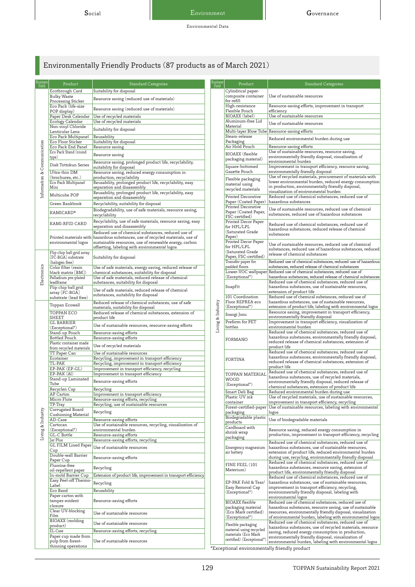## Environmentally Friendly Products (87 products as of March 2021)

| Business<br>Field           | Product                                           | <b>Standard Categories</b>                                                                                                       | Business<br>Field | Product                                       | <b>Standard Categories</b>                                                                                          |
|-----------------------------|---------------------------------------------------|----------------------------------------------------------------------------------------------------------------------------------|-------------------|-----------------------------------------------|---------------------------------------------------------------------------------------------------------------------|
|                             | Ecothrough Card                                   | Suitability for disposal                                                                                                         |                   | Cylindrical paper-                            |                                                                                                                     |
|                             | <b>Bulky Waste</b>                                | Resource saving (reduced use of materials)                                                                                       |                   | composite container<br>for refill             | Use of sustainable resources                                                                                        |
|                             | Processing Sticker<br>Eco Pack (life-size         |                                                                                                                                  |                   | High-resistance                               | Resource-saving efforts, improvement in transport                                                                   |
|                             | POP display)                                      | Resource saving (reduced use of materials)                                                                                       |                   | Flexible Pouch                                | efficiency                                                                                                          |
|                             | Paper Desk Calendar                               | Use of recycled materials                                                                                                        |                   | BIOAXX (label)<br>Aluminum-free Lid           | Use of sustainable resources                                                                                        |
|                             | Ecology Calendar<br>Non-vinyl Chloride            | Use of recycled materials                                                                                                        |                   | Material                                      | Use of sustainable resources                                                                                        |
|                             | Lenticular Lens                                   | Suitability for disposal                                                                                                         |                   |                                               | Multi-layer Blow Tube Resource-saving efforts                                                                       |
|                             | Eco Pack Multipanel<br>Eco Floor Sticker          | Reusability<br>Suitability for disposal                                                                                          |                   | Steam-release<br>Packaging                    | Reduced environmental burden during use                                                                             |
|                             | Eco Pack End Panel                                | Resource saving                                                                                                                  |                   | Air Hold Pouch                                | Resource-saving efforts                                                                                             |
|                             | Eco Pack Stand (round                             | Resource saving                                                                                                                  |                   | BIOAXX (flexible                              | Use of sustainable resources, resource saving,                                                                      |
|                             | type)                                             | Resource saving, prolonged product life, recyclability,                                                                          |                   | packaging material)                           | environmentally friendly disposal, visualization of<br>environmental burden                                         |
| Information & Communication | Disk Tottokun Series                              | suitability for disposal                                                                                                         |                   | Square-bottomed                               | Improvement in transport efficiency, resource saving,                                                               |
|                             | Ultra-thin DM                                     | Resource saving, reduced energy consumption in                                                                                   |                   | Gazette Pouch                                 | environmentally friendly disposal<br>Use of recycled materials, procurement of materials with                       |
|                             | (brochures, etc.)<br>Eco Pack Multipanel          | production, recyclability<br>Reusability, prolonged product life, recyclability, easy                                            |                   | Flexible packaging                            | lower environmental burden, reduced energy consumption                                                              |
|                             | Mini                                              | separation and disassembly                                                                                                       |                   | material using<br>recycled materials          | in production, environmentally friendly disposal,                                                                   |
|                             | Multicube POP                                     | Reusability, prolonged product life, recyclability, easy<br>separation and disassembly                                           |                   | <b>Printed Decorative</b>                     | visualization of environmental burden<br>Reduced use of chemical substances, reduced use of                         |
|                             | Green Bankbook                                    | Recyclability, suitability for disposal                                                                                          |                   | Paper (Coated Paper)                          | hazardous substances                                                                                                |
|                             |                                                   | Biodegradability, use of safe materials, resource saving,                                                                        |                   | Printed Decorative                            | Use of sustainable resources, reduced use of chemical                                                               |
|                             | <b>KAMICARD®</b>                                  | recyclability                                                                                                                    |                   | Paper (Coated Paper,<br>FSC-certified)        | substances, reduced use of hazardous substances                                                                     |
|                             | KAMI-RFID CARD                                    | Recyclability, use of safe materials, resource saving, easy                                                                      |                   | Printed Decor Paper                           | Reduced use of chemical substances, reduced use of                                                                  |
|                             |                                                   | separation and disassembly                                                                                                       |                   | for HPL/LPL<br>(Saturated Grade               | hazardous substances, reduced release of chemical                                                                   |
|                             | Printed materials with                            | Reduced use of chemical substances, reduced use of<br>hazardous substances, use of recycled materials, use of                    |                   | Paper)                                        | substances                                                                                                          |
|                             | environmental logos                               | sustainable resources, use of renewable energy, carbon                                                                           |                   | Printed Decor Paper                           | Use of sustainable resources, reduced use of chemical                                                               |
|                             |                                                   | offsetting, labeling with environmental logos                                                                                    |                   | for HPL/LPL<br>(Saturated Grade               | substances, reduced use of hazardous substances, reduced                                                            |
|                             | Flip chip ball grid array<br>[FC-BGA] substrate   | Suitability for disposal                                                                                                         |                   | Paper, FSC-certified)                         | release of chemical substances                                                                                      |
|                             | (halogen free)                                    |                                                                                                                                  |                   | Transfer paper for                            | Reduced use of chemical substances, reduced use of hazardous                                                        |
| Electronics                 | black matrix [BM])                                | Color filter (resin<br>Use of safe materials, energy saving, reduced release of<br>chemical substances, suitability for disposal |                   | padded floors<br>Lower-VOC wallpaper          | substances, reduced release of chemical substances<br>Reduced use of chemical substances, reduced use of            |
|                             | Palladium pre-plated                              | Use of safe materials, reduced release of chemical                                                                               |                   | (Exceptional*)                                | hazardous substances, reduced release of chemical substances                                                        |
|                             | leadframe<br>substances, suitability for disposal |                                                                                                                                  |                   | SnapFit                                       | Reduced use of chemical substances, reduced use of<br>hazardous substances, use of sustainable resources,           |
|                             | Flip chip ball grid<br>array [FC-BGA]             | Use of safe materials, reduced release of chemical                                                                               |                   |                                               | extension of product life                                                                                           |
|                             | substrate (lead free)                             | substances, suitability for disposal                                                                                             |                   | 101 Coordination                              | Reduced use of chemical substances, reduced use of                                                                  |
|                             | Toppan Ecowall                                    | Reduced release of chemical substances, use of safe<br>materials, suitability for disposal                                       | Living & Industry | Floor REPREA eco<br>(Exceptional*)            | hazardous substances, use of sustainable resources,<br>extension of product life, labeling with environmental logos |
|                             | TOPPAN ECO                                        | Reduced release of chemical substances, extension of                                                                             |                   | Sosogi Jozu                                   | Resource saving, improvement in transport efficiency,                                                               |
|                             | SHEET                                             | product life                                                                                                                     |                   | Preform for PET                               | environmentally friendly disposal<br>Improvement in transport efficiency, visualization of                          |
|                             | <b>GL BARRIER</b><br>(Exceptional*)               | Use of sustainable resources, resource-saving efforts                                                                            |                   | bottles                                       | environmental burden                                                                                                |
|                             | Stand-up Pouch                                    | Resource-saving efforts                                                                                                          |                   |                                               | Reduced use of chemical substances, reduced use of                                                                  |
|                             | Bottled Pouch<br>Plastic container made           | Resource-saving efforts                                                                                                          |                   | FORMANO                                       | hazardous substances, environmentally friendly disposal,<br>reduced release of chemical substances, extension of    |
|                             | from recycled materials                           | Use of recycled materials                                                                                                        |                   |                                               | product life                                                                                                        |
|                             | TT Paper Can                                      | Use of sustainable resources                                                                                                     |                   |                                               | Reduced use of chemical substances, reduced use of<br>hazardous substances, environmentally friendly disposal,      |
|                             | Ecotainer<br>TL-PAK                               | Recycling, improvement in transport efficiency<br>Recycling, improvement in transport efficiency                                 |                   | <b>FORTINA</b>                                | reduced release of chemical substances, extension of                                                                |
|                             | EP-PAK (EP-GL)                                    | Improvement in transport efficiency, recycling                                                                                   |                   |                                               | product life                                                                                                        |
|                             | EP-PAK (Al)                                       | Improvement in transport efficiency                                                                                              |                   | TOPPAN MATERIAL                               | Reduced use of chemical substances, reduced use of<br>hazardous substances, use of recycled materials,              |
|                             | Stand-up Laminated<br>Tube                        | Resource-saving efforts                                                                                                          |                   | <b>WOOD</b><br>(Exceptional*)                 | environmentally friendly disposal, reduced release of                                                               |
|                             | Recyclen Cap                                      | Recycling                                                                                                                        |                   |                                               | chemical substances, extension of product life<br>Reduced environmental burden during use                           |
|                             | AP Carton                                         | Improvement in transport efficiency                                                                                              |                   | Smart Deli Bag<br>Plastic UV ink              | Use of recycled materials, use of sustainable resources,                                                            |
|                             | Micro Flute<br>TP-Tray                            | Resource-saving efforts, recycling<br>Recycling, use of sustainable resources                                                    |                   | container                                     | improvement in transport efficiency, recycling                                                                      |
|                             | Corrugated Board                                  | Recycling                                                                                                                        |                   | Forest-certified-paper<br>packaging           | Use of sustainable resources, labeling with environmental<br>logos                                                  |
| Living & Industry           | Cushioning Material<br>AD-Case                    | Resource-saving efforts                                                                                                          |                   | Biodegradable plastic                         | Use of biodegradable materials                                                                                      |
|                             | Cartocan                                          | Use of sustainable resources, recycling, visualization of                                                                        |                   | products                                      |                                                                                                                     |
|                             | (Exceptional*)                                    | environmental burden                                                                                                             |                   | Cardboard with<br>shrink wrap                 | Resource saving, reduced energy consumption in                                                                      |
|                             | GL-C Bottle<br>Jar Plus                           | Resource-saving efforts<br>Resource-saving efforts, recycling                                                                    |                   | packaging                                     | production, improvement in transport efficiency, recycling                                                          |
|                             | <b>GL FILM Lined Paper</b>                        | Use of sustainable resources                                                                                                     |                   | Emergency magnesium                           | Reduced use of chemical substances, reduced use of<br>hazardous substances, use of sustainable resources,           |
|                             | Cup                                               |                                                                                                                                  |                   | air battery                                   | extension of product life, reduced environmental burden                                                             |
|                             | Double-wall Barrier<br>Paper Cup                  | Resource-saving efforts                                                                                                          |                   |                                               | during use, recycling, environmentally friendly disposal                                                            |
|                             | Fluorine-free                                     | Recycling                                                                                                                        |                   | FINE FEEL (101                                | Reduced use of chemical substances, reduced use of<br>hazardous substances, resource saving, extension of           |
|                             | oil-repellent paper                               |                                                                                                                                  |                   | Materium)                                     | product life, environmentally friendly disposal                                                                     |
|                             | In-mold Barrier Cup<br>Easy Peel-off Thermo-      | Extension of product life, improvement in transport efficiency                                                                   |                   | EP-PAK Fold & Tear/                           | Reduced use of chemical substances, reduced use of<br>hazardous substances, use of sustainable resources,           |
|                             | Label                                             | Recycling                                                                                                                        |                   | Easy Removal Cap                              | improvement in transport efficiency, recycling,                                                                     |
|                             | Eco Band<br>Paper carton with                     | Reusability                                                                                                                      |                   | (Exceptional*)                                | environmentally friendly disposal, labeling with                                                                    |
|                             | tamper-evident                                    | Resource-saving efforts                                                                                                          |                   | <b>BIOAXX</b> flexible                        | environmental logos<br>Reduced use of chemical substances, reduced use of                                           |
|                             | closure                                           |                                                                                                                                  |                   | packaging material<br>(Eco Mark certified)    | hazardous substances, resource saving, use of sustainable                                                           |
|                             | Clear UV-blocking<br>Film                         | Use of sustainable resources                                                                                                     |                   |                                               | resources, environmentally friendly disposal, visualization                                                         |
|                             | BIOAXX (molding                                   | Use of sustainable resources                                                                                                     |                   | (Exceptional*)                                | of environmental burden, labeling with environmental logos<br>Reduced use of chemical substances, reduced use of    |
|                             | product)                                          |                                                                                                                                  |                   | Flexible packaging<br>material using recycled | hazardous substances, use of recycled materials, resource                                                           |
|                             | EL-Case<br>Paper cup made from                    | Resource-saving efforts, recycling                                                                                               |                   | materials (Eco Mark                           | saving, reduced energy consumption in production,<br>environmentally friendly disposal, visualization of            |
|                             | pulp from forest-                                 | Use of sustainable resources                                                                                                     |                   | certified) (Exceptional*)                     | environmental burden, labeling with environmental logos                                                             |
|                             | thinning operations                               |                                                                                                                                  |                   |                                               |                                                                                                                     |

\*Exceptional environmentally friendly product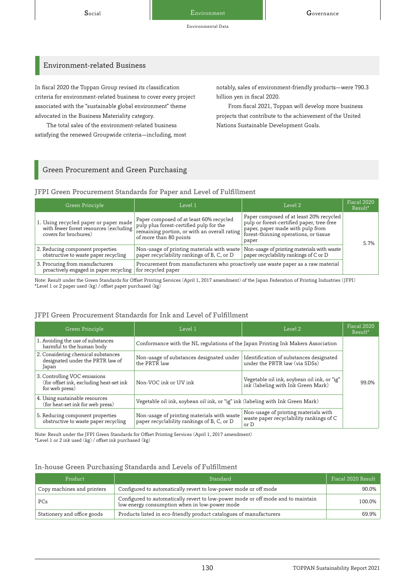Environmental Data

## Environment-related Business

In fiscal 2020 the Toppan Group revised its classification criteria for environment-related business to cover every project associated with the "sustainable global environment" theme advocated in the Business Materiality category.

The total sales of the environment-related business satisfying the renewed Groupwide criteria—including, most notably, sales of environment-friendly products—were 790.3 billion yen in fiscal 2020.

From fiscal 2021, Toppan will develop more business projects that contribute to the achievement of the United Nations Sustainable Development Goals.

## Green Procurement and Green Purchasing

JFPI Green Procurement Standards for Paper and Level of Fulfillment

| Green Principle                                                           | Level 1                                                                                                                                                                                               | Level 2                                                                                                                                                                    | Fiscal 2020<br>Result <sup>*</sup> |
|---------------------------------------------------------------------------|-------------------------------------------------------------------------------------------------------------------------------------------------------------------------------------------------------|----------------------------------------------------------------------------------------------------------------------------------------------------------------------------|------------------------------------|
| 1. Using recycled paper or paper made<br>covers for brochures)            | Paper composed of at least 60% recycled<br>with fewer forest resources (excluding   pulp plus forest-certified pulp for the<br>remaining portion, or with an overall rating<br>of more than 80 points | Paper composed of at least 20% recycled<br>pulp or forest-certified paper, tree-free<br>paper, paper made with pulp from<br>forest-thinning operations, or tissue<br>paper | 5.7%                               |
| 2. Reducing component properties<br>obstructive to waste paper recycling  | Non-usage of printing materials with waste<br>paper recyclability rankings of B, C, or D                                                                                                              | Non-usage of printing materials with waste<br>paper recyclability rankings of C or D                                                                                       |                                    |
| 3. Procuring from manufacturers<br>proactively engaged in paper recycling | Procurement from manufacturers who proactively use waste paper as a raw material<br>for recycled paper                                                                                                |                                                                                                                                                                            |                                    |

Note: Result under the Green Standards for Offset Printing Services (April 1, 2017 amendment) of the Japan Federation of Printing Industries (JFPI)  $^\star$  Level 1 or 2 paper used  $\left(\mathrm{kg}\right)$  / offset paper purchased  $\left(\mathrm{kg}\right)$ 

## JFPI Green Procurement Standards for Ink and Level of Fulfillment

| Green Principle                                                                           | Level 1                                                                                  | Level 2                                                                                 | Fiscal 2020<br>Result <sup>*</sup> |
|-------------------------------------------------------------------------------------------|------------------------------------------------------------------------------------------|-----------------------------------------------------------------------------------------|------------------------------------|
| 1. Avoiding the use of substances<br>harmful to the human body                            | Conformance with the NL regulations of the Japan Printing Ink Makers Association         |                                                                                         |                                    |
| 2. Considering chemical substances<br>designated under the PRTR law of<br>Japan           | Non-usage of substances designated under<br>the PRTR law                                 | Identification of substances designated<br>under the PRTR law (via SDSs)                |                                    |
| 3. Controlling VOC emissions<br>(for offset ink, excluding heat-set ink<br>for web press) | Non-VOC ink or UV ink                                                                    | Vegetable oil ink, soybean oil ink, or "ig"<br>ink (labeling with Ink Green Mark)       | 99.0%                              |
| 4. Using sustainable resources<br>(for heat-set ink for web press)                        | Vegetable oil ink, soybean oil ink, or "ig" ink (labeling with Ink Green Mark)           |                                                                                         |                                    |
| 5. Reducing component properties<br>obstructive to waste paper recycling                  | Non-usage of printing materials with waste<br>paper recyclability rankings of B, C, or D | Non-usage of printing materials with<br>waste paper recyclability rankings of C<br>or D |                                    |

Note: Result under the JFPI Green Standards for Offset Printing Services (April 1, 2017 amendment) \*Level 1 or 2 ink used (kg) / offset ink purchased (kg)

### In-house Green Purchasing Standards and Levels of Fulfillment

| Product                     | Standard                                                                                                                          | Fiscal 2020 Result |
|-----------------------------|-----------------------------------------------------------------------------------------------------------------------------------|--------------------|
| Copy machines and printers  | Configured to automatically revert to low-power mode or off mode                                                                  | 90.0%              |
| PCs                         | Configured to automatically revert to low-power mode or off mode and to maintain<br>low energy consumption when in low-power mode | 100.0%             |
| Stationery and office goods | Products listed in eco-friendly product catalogues of manufacturers                                                               | 69.9%              |